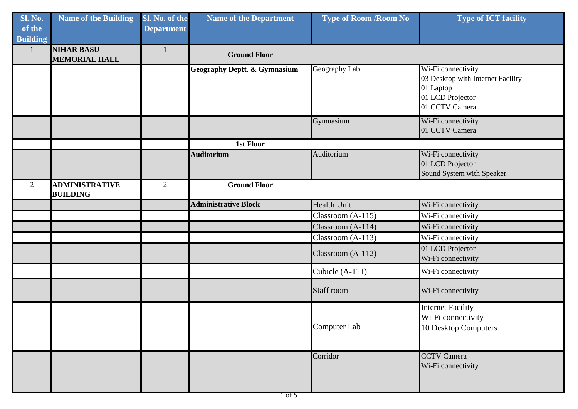| <b>Sl. No.</b><br>of the<br><b>Building</b> | <b>Name of the Building</b>               | Sl. No. of the<br><b>Department</b> | <b>Name of the Department</b>           | <b>Type of Room /Room No</b> | <b>Type of ICT facility</b>                                                                                |
|---------------------------------------------|-------------------------------------------|-------------------------------------|-----------------------------------------|------------------------------|------------------------------------------------------------------------------------------------------------|
|                                             | <b>NIHAR BASU</b><br><b>MEMORIAL HALL</b> | $\mathbf{1}$                        | <b>Ground Floor</b>                     |                              |                                                                                                            |
|                                             |                                           |                                     | <b>Geography Deptt. &amp; Gymnasium</b> | Geography Lab                | Wi-Fi connectivity<br>03 Desktop with Internet Facility<br>01 Laptop<br>01 LCD Projector<br>01 CCTV Camera |
|                                             |                                           |                                     |                                         | Gymnasium                    | Wi-Fi connectivity<br>01 CCTV Camera                                                                       |
|                                             |                                           |                                     | 1st Floor                               |                              |                                                                                                            |
|                                             |                                           |                                     | <b>Auditorium</b>                       | Auditorium                   | Wi-Fi connectivity<br>01 LCD Projector<br>Sound System with Speaker                                        |
| 2                                           | <b>ADMINISTRATIVE</b><br><b>BUILDING</b>  | 2                                   | <b>Ground Floor</b>                     |                              |                                                                                                            |
|                                             |                                           |                                     | <b>Administrative Block</b>             | <b>Health Unit</b>           | Wi-Fi connectivity                                                                                         |
|                                             |                                           |                                     |                                         | Classroom (A-115)            | Wi-Fi connectivity                                                                                         |
|                                             |                                           |                                     |                                         | Classroom (A-114)            | Wi-Fi connectivity                                                                                         |
|                                             |                                           |                                     |                                         | Classroom (A-113)            | Wi-Fi connectivity                                                                                         |
|                                             |                                           |                                     |                                         | Classroom (A-112)            | 01 LCD Projector<br>Wi-Fi connectivity                                                                     |
|                                             |                                           |                                     |                                         | Cubicle (A-111)              | Wi-Fi connectivity                                                                                         |
|                                             |                                           |                                     |                                         | Staff room                   | Wi-Fi connectivity                                                                                         |
|                                             |                                           |                                     |                                         | Computer Lab                 | <b>Internet Facility</b><br>Wi-Fi connectivity<br>10 Desktop Computers                                     |
|                                             |                                           |                                     |                                         | Corridor                     | <b>CCTV Camera</b><br>Wi-Fi connectivity                                                                   |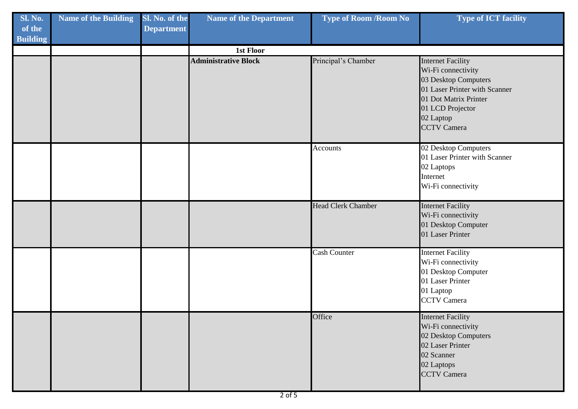| <b>Sl. No.</b><br>of the<br><b>Building</b> | <b>Name of the Building</b> | Sl. No. of the<br><b>Department</b> | <b>Name of the Department</b> | <b>Type of Room /Room No</b> | <b>Type of ICT facility</b>                                                                                                                                                             |
|---------------------------------------------|-----------------------------|-------------------------------------|-------------------------------|------------------------------|-----------------------------------------------------------------------------------------------------------------------------------------------------------------------------------------|
|                                             |                             |                                     | 1st Floor                     |                              |                                                                                                                                                                                         |
|                                             |                             |                                     | <b>Administrative Block</b>   | Principal's Chamber          | <b>Internet Facility</b><br>Wi-Fi connectivity<br>03 Desktop Computers<br>01 Laser Printer with Scanner<br>01 Dot Matrix Printer<br>01 LCD Projector<br>02 Laptop<br><b>CCTV Camera</b> |
|                                             |                             |                                     |                               | <b>Accounts</b>              | 02 Desktop Computers<br>01 Laser Printer with Scanner<br>02 Laptops<br>Internet<br>Wi-Fi connectivity                                                                                   |
|                                             |                             |                                     |                               | <b>Head Clerk Chamber</b>    | <b>Internet Facility</b><br>Wi-Fi connectivity<br>01 Desktop Computer<br>01 Laser Printer                                                                                               |
|                                             |                             |                                     |                               | <b>Cash Counter</b>          | <b>Internet Facility</b><br>Wi-Fi connectivity<br>01 Desktop Computer<br>01 Laser Printer<br>01 Laptop<br><b>CCTV</b> Camera                                                            |
|                                             |                             |                                     |                               | Office                       | <b>Internet Facility</b><br>Wi-Fi connectivity<br>02 Desktop Computers<br>02 Laser Printer<br>02 Scanner<br>02 Laptops<br><b>CCTV</b> Camera                                            |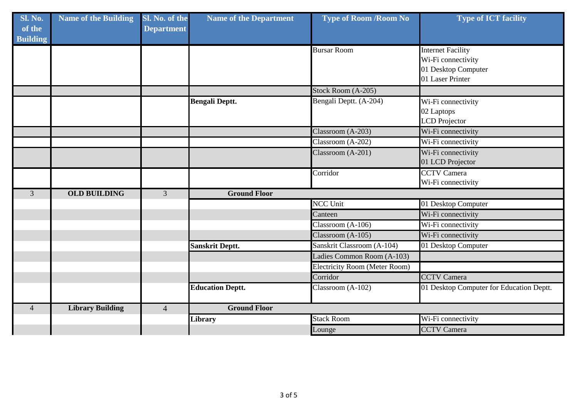| Sl. No.<br>of the<br><b>Building</b> | <b>Name of the Building</b> | Sl. No. of the<br><b>Department</b> | <b>Name of the Department</b> | <b>Type of Room / Room No</b>        | <b>Type of ICT facility</b>                    |
|--------------------------------------|-----------------------------|-------------------------------------|-------------------------------|--------------------------------------|------------------------------------------------|
|                                      |                             |                                     |                               | <b>Bursar Room</b>                   | <b>Internet Facility</b><br>Wi-Fi connectivity |
|                                      |                             |                                     |                               |                                      | 01 Desktop Computer                            |
|                                      |                             |                                     |                               |                                      | 01 Laser Printer                               |
|                                      |                             |                                     |                               | Stock Room (A-205)                   |                                                |
|                                      |                             |                                     | <b>Bengali Deptt.</b>         | Bengali Deptt. (A-204)               | Wi-Fi connectivity                             |
|                                      |                             |                                     |                               |                                      | 02 Laptops                                     |
|                                      |                             |                                     |                               |                                      | <b>LCD</b> Projector                           |
|                                      |                             |                                     |                               | Classroom (A-203)                    | Wi-Fi connectivity                             |
|                                      |                             |                                     |                               | Classroom (A-202)                    | Wi-Fi connectivity                             |
|                                      |                             |                                     |                               | Classroom (A-201)                    | Wi-Fi connectivity                             |
|                                      |                             |                                     |                               |                                      | 01 LCD Projector                               |
|                                      |                             |                                     |                               | Corridor                             | <b>CCTV Camera</b>                             |
|                                      |                             |                                     |                               |                                      | Wi-Fi connectivity                             |
| 3                                    | <b>OLD BUILDING</b>         | 3                                   | <b>Ground Floor</b>           |                                      |                                                |
|                                      |                             |                                     |                               | <b>NCC Unit</b>                      | 01 Desktop Computer                            |
|                                      |                             |                                     |                               | Canteen                              | Wi-Fi connectivity                             |
|                                      |                             |                                     |                               | Classroom (A-106)                    | Wi-Fi connectivity                             |
|                                      |                             |                                     |                               | Classroom (A-105)                    | Wi-Fi connectivity                             |
|                                      |                             |                                     | <b>Sanskrit Deptt.</b>        | Sanskrit Classroom (A-104)           | 01 Desktop Computer                            |
|                                      |                             |                                     |                               | Ladies Common Room (A-103)           |                                                |
|                                      |                             |                                     |                               | <b>Electricity Room (Meter Room)</b> |                                                |
|                                      |                             |                                     |                               | Corridor                             | <b>CCTV</b> Camera                             |
|                                      |                             |                                     | <b>Education Deptt.</b>       | Classroom $(A-102)$                  | 01 Desktop Computer for Education Deptt.       |
| $\overline{4}$                       | <b>Library Building</b>     | $\overline{4}$                      | <b>Ground Floor</b>           |                                      |                                                |
|                                      |                             |                                     | Library                       | <b>Stack Room</b>                    | Wi-Fi connectivity                             |
|                                      |                             |                                     |                               | Lounge                               | <b>CCTV Camera</b>                             |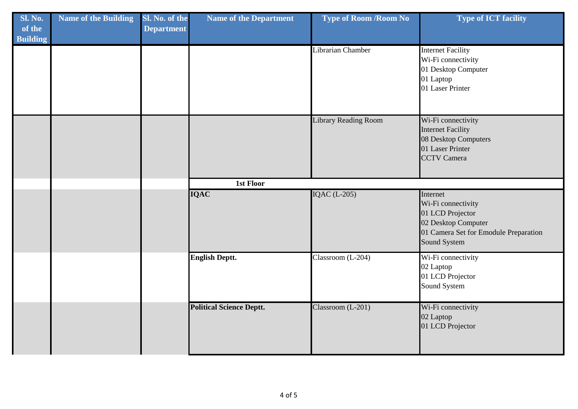| Sl. No.<br>of the<br><b>Building</b> | <b>Name of the Building</b> | Sl. No. of the<br><b>Department</b> | <b>Name of the Department</b>   | <b>Type of Room /Room No</b> | <b>Type of ICT facility</b>                                                                                                        |
|--------------------------------------|-----------------------------|-------------------------------------|---------------------------------|------------------------------|------------------------------------------------------------------------------------------------------------------------------------|
|                                      |                             |                                     |                                 | Librarian Chamber            | <b>Internet Facility</b><br>Wi-Fi connectivity<br>01 Desktop Computer<br>01 Laptop<br>01 Laser Printer                             |
|                                      |                             |                                     |                                 | <b>Library Reading Room</b>  | Wi-Fi connectivity<br><b>Internet Facility</b><br>08 Desktop Computers<br>01 Laser Printer<br><b>CCTV</b> Camera                   |
|                                      |                             |                                     | <b>1st Floor</b>                |                              |                                                                                                                                    |
|                                      |                             |                                     | <b>IQAC</b>                     | <b>IQAC</b> (L-205)          | Internet<br>Wi-Fi connectivity<br>01 LCD Projector<br>02 Desktop Computer<br>01 Camera Set for Emodule Preparation<br>Sound System |
|                                      |                             |                                     | <b>English Deptt.</b>           | Classroom (L-204)            | Wi-Fi connectivity<br>02 Laptop<br>01 LCD Projector<br>Sound System                                                                |
|                                      |                             |                                     | <b>Political Science Deptt.</b> | Classroom (L-201)            | Wi-Fi connectivity<br>02 Laptop<br>01 LCD Projector                                                                                |